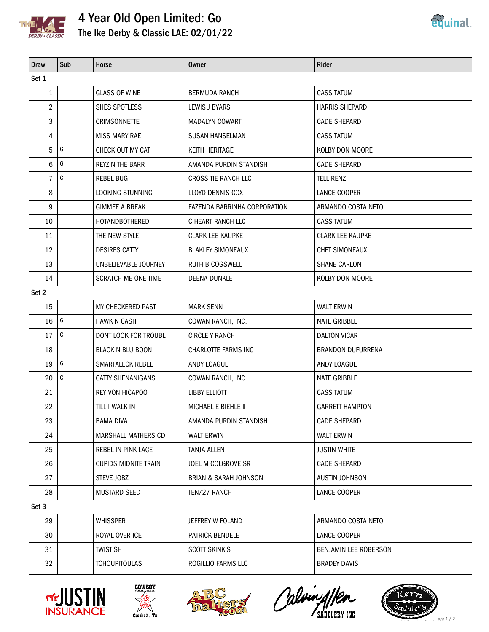

## 4 Year Old Open Limited: Go The Ike Derby & Classic LAE: 02/01/22



| <b>Draw</b>    | Sub           | Horse                       | <b>Owner</b>                     | Rider                    |  |  |  |  |  |
|----------------|---------------|-----------------------------|----------------------------------|--------------------------|--|--|--|--|--|
| Set 1          |               |                             |                                  |                          |  |  |  |  |  |
| 1              |               | <b>GLASS OF WINE</b>        | <b>BERMUDA RANCH</b>             | <b>CASS TATUM</b>        |  |  |  |  |  |
| $\overline{2}$ |               | SHES SPOTLESS               | LEWIS J BYARS                    | <b>HARRIS SHEPARD</b>    |  |  |  |  |  |
| 3              |               | <b>CRIMSONNETTE</b>         | <b>MADALYN COWART</b>            | <b>CADE SHEPARD</b>      |  |  |  |  |  |
| 4              |               | <b>MISS MARY RAE</b>        | <b>SUSAN HANSELMAN</b>           | <b>CASS TATUM</b>        |  |  |  |  |  |
| 5              | G             | CHECK OUT MY CAT            | KEITH HERITAGE                   | <b>KOLBY DON MOORE</b>   |  |  |  |  |  |
| 6              | G             | <b>REYZIN THE BARR</b>      | AMANDA PURDIN STANDISH           | <b>CADE SHEPARD</b>      |  |  |  |  |  |
| $\overline{7}$ | G             | <b>REBEL BUG</b>            | CROSS TIE RANCH LLC              | <b>TELL RENZ</b>         |  |  |  |  |  |
| 8              |               | LOOKING STUNNING            | LLOYD DENNIS COX                 | LANCE COOPER             |  |  |  |  |  |
| 9              |               | <b>GIMMEE A BREAK</b>       | FAZENDA BARRINHA CORPORATION     | ARMANDO COSTA NETO       |  |  |  |  |  |
| 10             |               | <b>HOTANDBOTHERED</b>       | C HEART RANCH LLC                | <b>CASS TATUM</b>        |  |  |  |  |  |
| 11             |               | THE NEW STYLE               | <b>CLARK LEE KAUPKE</b>          | <b>CLARK LEE KAUPKE</b>  |  |  |  |  |  |
| 12             |               | <b>DESIRES CATTY</b>        | <b>BLAKLEY SIMONEAUX</b>         | <b>CHET SIMONEAUX</b>    |  |  |  |  |  |
| 13             |               | UNBELIEVABLE JOURNEY        | <b>RUTH B COGSWELL</b>           | SHANE CARLON             |  |  |  |  |  |
| 14             |               | <b>SCRATCH ME ONE TIME</b>  | DEENA DUNKLE                     | KOLBY DON MOORE          |  |  |  |  |  |
| Set 2          |               |                             |                                  |                          |  |  |  |  |  |
| 15             |               | MY CHECKERED PAST           | <b>MARK SENN</b>                 | <b>WALT ERWIN</b>        |  |  |  |  |  |
| 16             | ${\mathsf G}$ | <b>HAWK N CASH</b>          | COWAN RANCH, INC.                | <b>NATE GRIBBLE</b>      |  |  |  |  |  |
| 17             | G             | DONT LOOK FOR TROUBL        | <b>CIRCLE Y RANCH</b>            | <b>DALTON VICAR</b>      |  |  |  |  |  |
| 18             |               | <b>BLACK N BLU BOON</b>     | CHARLOTTE FARMS INC              | <b>BRANDON DUFURRENA</b> |  |  |  |  |  |
| 19             | G             | SMARTALECK REBEL            | ANDY LOAGUE                      | ANDY LOAGUE              |  |  |  |  |  |
| 20             | G             | <b>CATTY SHENANIGANS</b>    | COWAN RANCH, INC.                | <b>NATE GRIBBLE</b>      |  |  |  |  |  |
| 21             |               | REY VON HICAPOO             | LIBBY ELLIOTT                    | <b>CASS TATUM</b>        |  |  |  |  |  |
| 22             |               | TILL I WALK IN              | MICHAEL E BIEHLE II              | <b>GARRETT HAMPTON</b>   |  |  |  |  |  |
| 23             |               | <b>BAMA DIVA</b>            | AMANDA PURDIN STANDISH           | <b>CADE SHEPARD</b>      |  |  |  |  |  |
| 24             |               | MARSHALL MATHERS CD         | <b>WALT ERWIN</b>                | <b>WALT ERWIN</b>        |  |  |  |  |  |
| 25             |               | REBEL IN PINK LACE          | TANJA ALLEN                      | <b>JUSTIN WHITE</b>      |  |  |  |  |  |
| 26             |               | <b>CUPIDS MIDNITE TRAIN</b> | JOEL M COLGROVE SR               | <b>CADE SHEPARD</b>      |  |  |  |  |  |
| 27             |               | STEVE JOBZ                  | <b>BRIAN &amp; SARAH JOHNSON</b> | <b>AUSTIN JOHNSON</b>    |  |  |  |  |  |
| 28             |               | <b>MUSTARD SEED</b>         | TEN/27 RANCH                     | LANCE COOPER             |  |  |  |  |  |
| Set 3          |               |                             |                                  |                          |  |  |  |  |  |
| 29             |               | <b>WHISSPER</b>             | JEFFREY W FOLAND                 | ARMANDO COSTA NETO       |  |  |  |  |  |
| 30             |               | ROYAL OVER ICE              | PATRICK BENDELE                  | LANCE COOPER             |  |  |  |  |  |
| 31             |               | <b>TWISTISH</b>             | <b>SCOTT SKINKIS</b>             | BENJAMIN LEE ROBERSON    |  |  |  |  |  |
| 32             |               | <b>TCHOUPITOULAS</b>        | ROGILLIO FARMS LLC               | <b>BRADEY DAVIS</b>      |  |  |  |  |  |